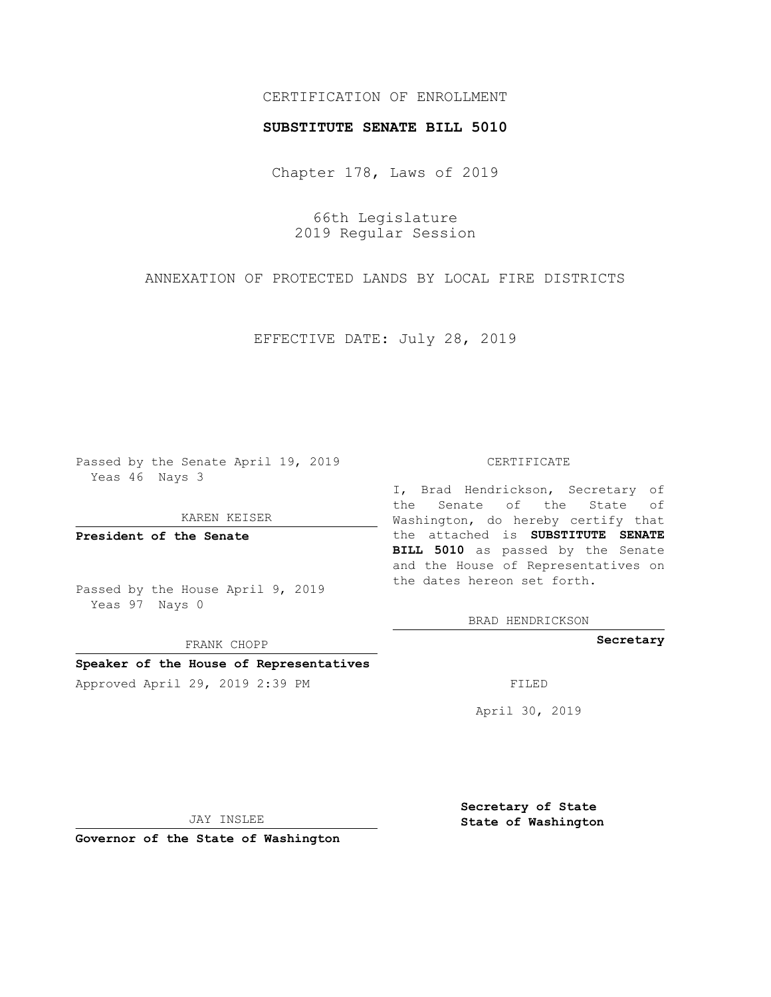## CERTIFICATION OF ENROLLMENT

### **SUBSTITUTE SENATE BILL 5010**

Chapter 178, Laws of 2019

66th Legislature 2019 Regular Session

ANNEXATION OF PROTECTED LANDS BY LOCAL FIRE DISTRICTS

EFFECTIVE DATE: July 28, 2019

Passed by the Senate April 19, 2019 Yeas 46 Nays 3

KAREN KEISER

**President of the Senate**

Passed by the House April 9, 2019 Yeas 97 Nays 0

FRANK CHOPP

# **Speaker of the House of Representatives**

Approved April 29, 2019 2:39 PM FILED

#### CERTIFICATE

I, Brad Hendrickson, Secretary of the Senate of the State of Washington, do hereby certify that the attached is **SUBSTITUTE SENATE BILL 5010** as passed by the Senate and the House of Representatives on the dates hereon set forth.

BRAD HENDRICKSON

**Secretary**

April 30, 2019

JAY INSLEE

**Governor of the State of Washington**

**Secretary of State State of Washington**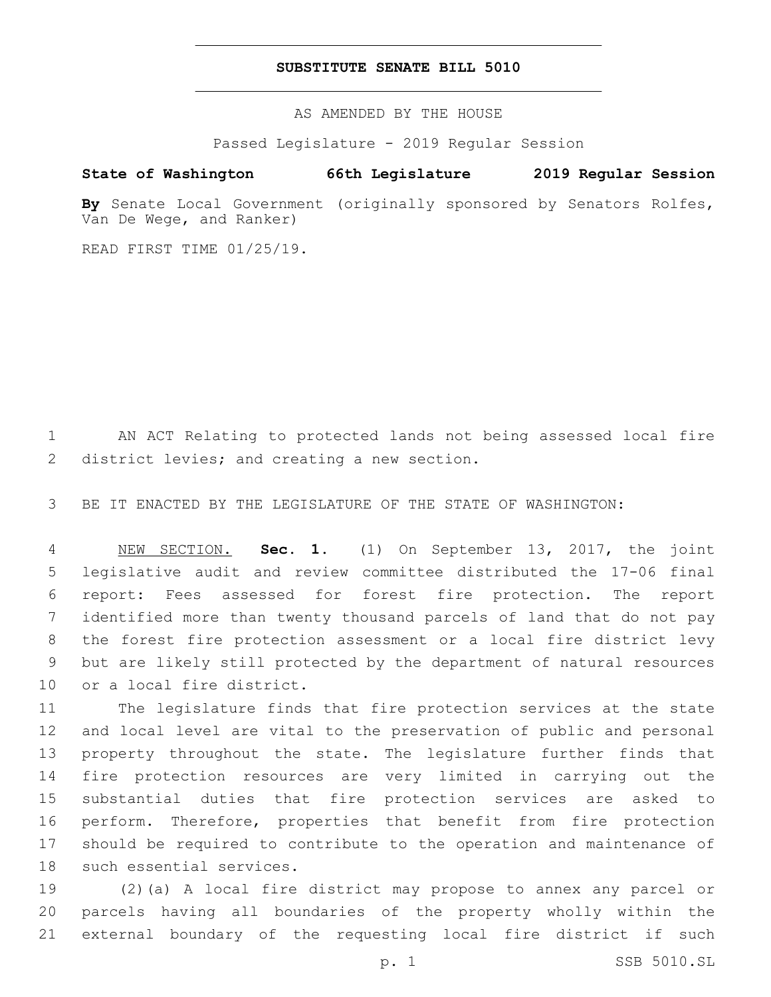## **SUBSTITUTE SENATE BILL 5010**

AS AMENDED BY THE HOUSE

Passed Legislature - 2019 Regular Session

# **State of Washington 66th Legislature 2019 Regular Session**

**By** Senate Local Government (originally sponsored by Senators Rolfes, Van De Wege, and Ranker)

READ FIRST TIME 01/25/19.

 AN ACT Relating to protected lands not being assessed local fire 2 district levies; and creating a new section.

BE IT ENACTED BY THE LEGISLATURE OF THE STATE OF WASHINGTON:

 NEW SECTION. **Sec. 1.** (1) On September 13, 2017, the joint legislative audit and review committee distributed the 17-06 final report: Fees assessed for forest fire protection. The report identified more than twenty thousand parcels of land that do not pay the forest fire protection assessment or a local fire district levy but are likely still protected by the department of natural resources or a local fire district.

 The legislature finds that fire protection services at the state and local level are vital to the preservation of public and personal property throughout the state. The legislature further finds that fire protection resources are very limited in carrying out the substantial duties that fire protection services are asked to perform. Therefore, properties that benefit from fire protection should be required to contribute to the operation and maintenance of 18 such essential services.

 (2)(a) A local fire district may propose to annex any parcel or parcels having all boundaries of the property wholly within the external boundary of the requesting local fire district if such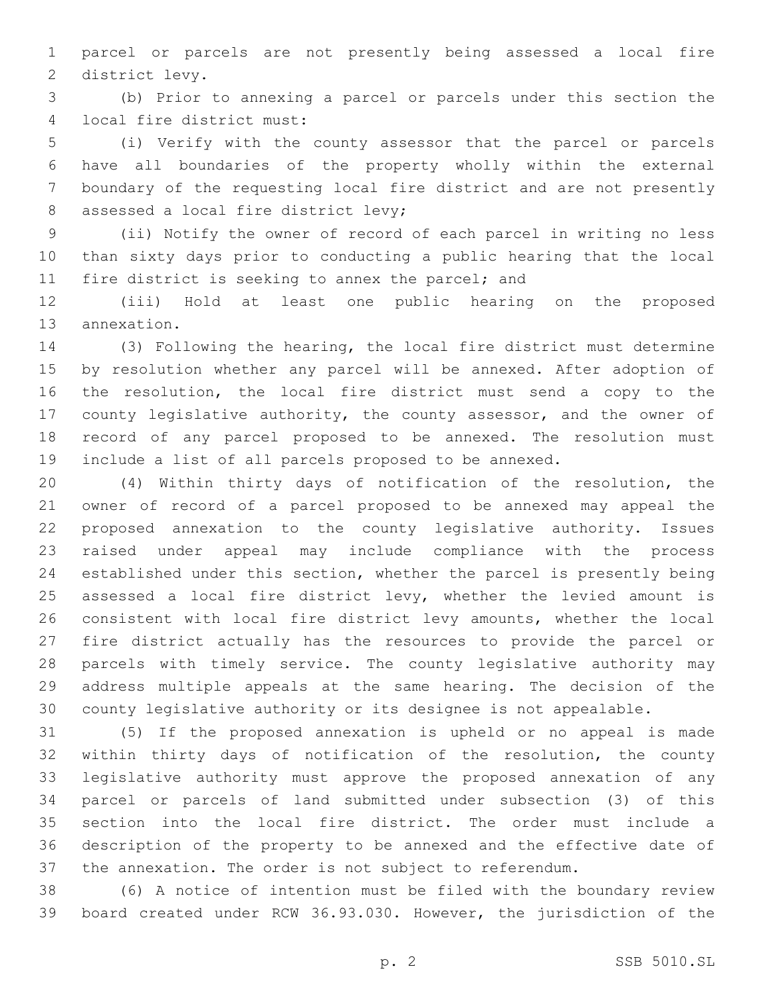parcel or parcels are not presently being assessed a local fire 2 district levy.

 (b) Prior to annexing a parcel or parcels under this section the 4 local fire district must:

 (i) Verify with the county assessor that the parcel or parcels have all boundaries of the property wholly within the external boundary of the requesting local fire district and are not presently 8 assessed a local fire district levy;

 (ii) Notify the owner of record of each parcel in writing no less than sixty days prior to conducting a public hearing that the local 11 fire district is seeking to annex the parcel; and

 (iii) Hold at least one public hearing on the proposed 13 annexation.

 (3) Following the hearing, the local fire district must determine by resolution whether any parcel will be annexed. After adoption of the resolution, the local fire district must send a copy to the county legislative authority, the county assessor, and the owner of record of any parcel proposed to be annexed. The resolution must include a list of all parcels proposed to be annexed.

 (4) Within thirty days of notification of the resolution, the owner of record of a parcel proposed to be annexed may appeal the proposed annexation to the county legislative authority. Issues raised under appeal may include compliance with the process established under this section, whether the parcel is presently being assessed a local fire district levy, whether the levied amount is consistent with local fire district levy amounts, whether the local fire district actually has the resources to provide the parcel or parcels with timely service. The county legislative authority may address multiple appeals at the same hearing. The decision of the county legislative authority or its designee is not appealable.

 (5) If the proposed annexation is upheld or no appeal is made within thirty days of notification of the resolution, the county legislative authority must approve the proposed annexation of any parcel or parcels of land submitted under subsection (3) of this section into the local fire district. The order must include a description of the property to be annexed and the effective date of the annexation. The order is not subject to referendum.

 (6) A notice of intention must be filed with the boundary review board created under RCW 36.93.030. However, the jurisdiction of the